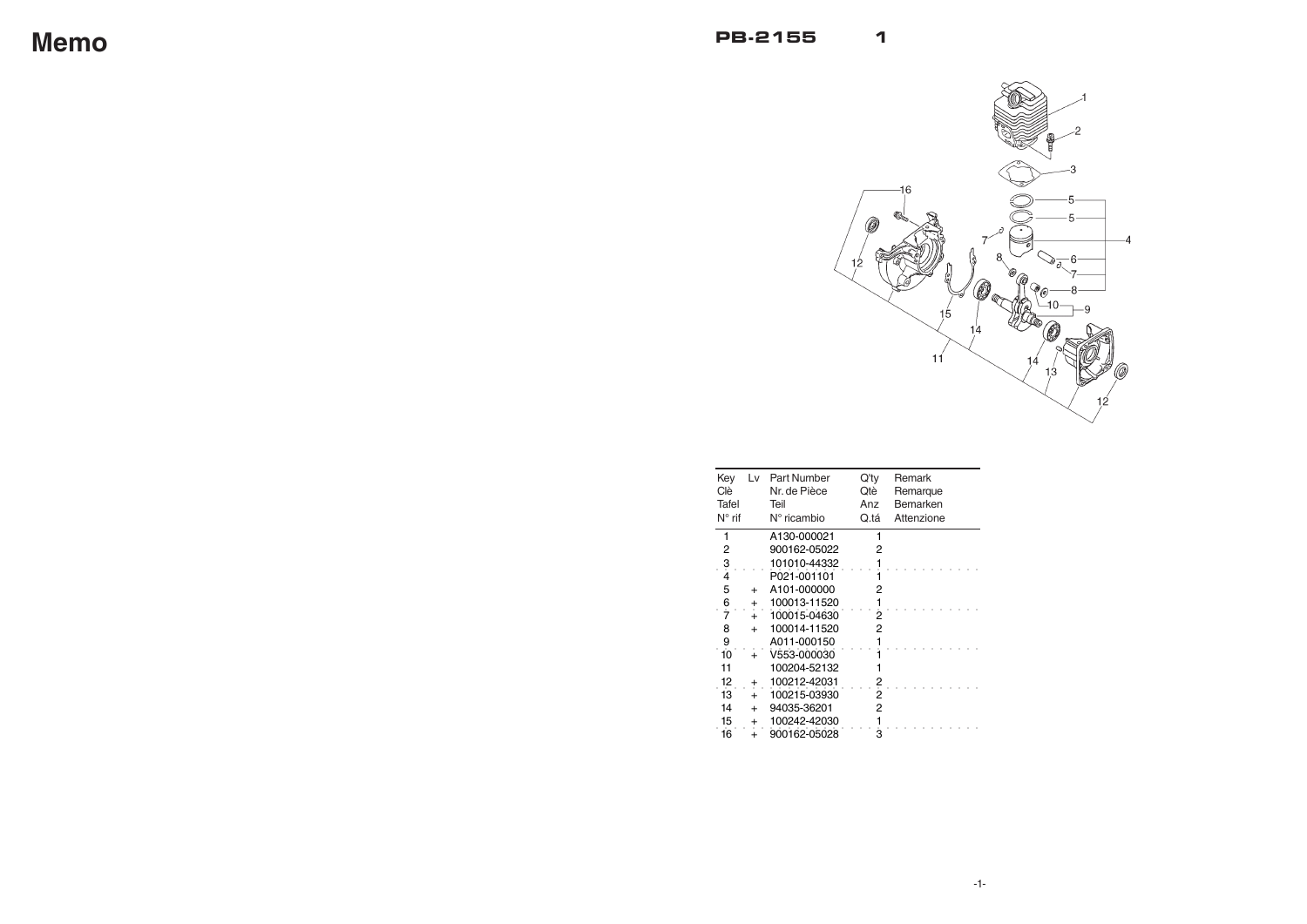

| Key<br>Clè.<br>Tafel<br>$N^{\circ}$ rif | Lv        | Part Number<br>Nr. de Pièce<br>Teil<br>$N^{\circ}$ ricambio | Q'ty<br>Qtè<br>Anz<br>Q.tá | Remark<br>Remarque<br>Bemarken<br>Attenzione |
|-----------------------------------------|-----------|-------------------------------------------------------------|----------------------------|----------------------------------------------|
| 1                                       |           | A130-000021                                                 | 1                          |                                              |
| 2                                       |           | 900162-05022                                                | 2                          |                                              |
| $\frac{3}{4}$                           |           | 101010-44332                                                |                            |                                              |
|                                         |           | P021-001101                                                 |                            |                                              |
| 5                                       | $\ddot{}$ | A101-000000                                                 | 2                          |                                              |
| $\frac{6}{7}$                           | +         | 100013-11520                                                |                            |                                              |
|                                         | $+$       | 100015-04630                                                | 2                          |                                              |
| 8                                       | $\ddot{}$ | 100014-11520                                                | 2                          |                                              |
| 9                                       |           | A011-000150                                                 |                            |                                              |
| 10                                      | $\ddot{}$ | V553-000030                                                 |                            |                                              |
| 11                                      |           | 100204-52132                                                |                            |                                              |
| 12                                      | +         | 100212-42031                                                |                            |                                              |
| 13                                      |           | 100215-03930                                                | $\frac{2}{2}$              |                                              |
| 14                                      | $\ddot{}$ | 94035-36201                                                 | 2                          |                                              |
| 15                                      | +         | 100242-42030                                                |                            |                                              |
| 16                                      |           | 900162-05028                                                | З                          |                                              |

**Memo**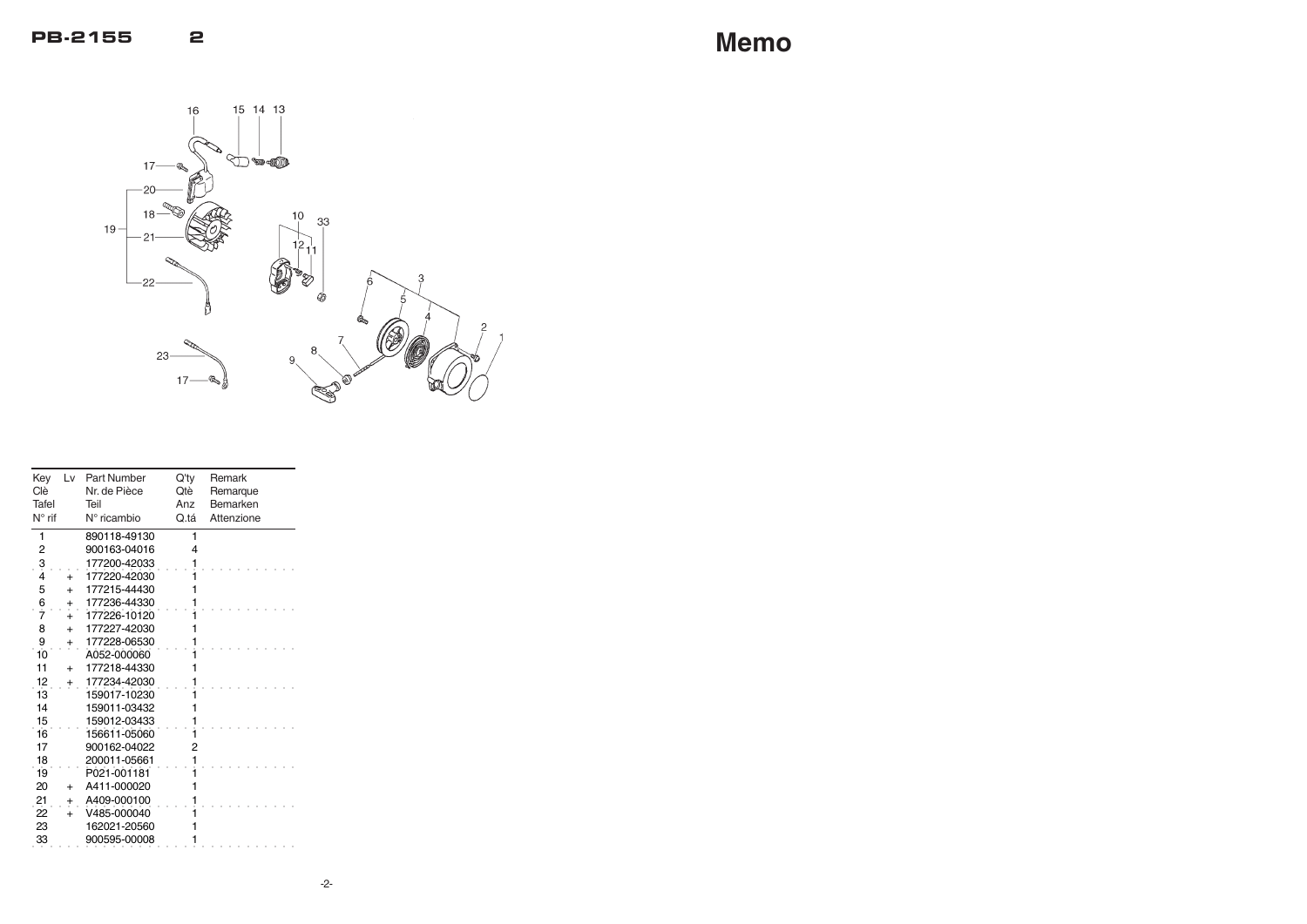| Key<br>Clè<br>Tafel<br>$N^{\circ}$ rif | Lv        | <b>Part Number</b><br>Nr. de Pièce<br>Teil<br>$N^{\circ}$ ricambio | $Q'$ ty<br>Qtè<br>Anz<br>Q.tá | Remark<br>Remarque<br>Bemarken<br>Attenzione |
|----------------------------------------|-----------|--------------------------------------------------------------------|-------------------------------|----------------------------------------------|
| 1                                      |           | 890118-49130                                                       | 1                             |                                              |
| $\overline{c}$                         |           | 900163-04016                                                       | 4                             |                                              |
| $\frac{3}{4}$                          |           | 177200-42033                                                       |                               |                                              |
|                                        | $\ddot{}$ | 177220-42030                                                       |                               |                                              |
| 5                                      | $+$       | 177215-44430                                                       |                               |                                              |
| $rac{6}{7}$                            | $\pmb{+}$ | 177236-44330                                                       |                               |                                              |
|                                        | $\ddot{}$ | 177226-10120                                                       |                               |                                              |
| 8                                      | $+$       | 177227-42030                                                       |                               |                                              |
| 9                                      | $\pm$     | 177228-06530                                                       |                               |                                              |
| 10                                     |           | A052-000060                                                        |                               |                                              |
| 11                                     | $+$       | 177218-44330                                                       |                               |                                              |
| 12                                     | +         | 177234-42030                                                       |                               |                                              |
| 13                                     |           | 159017-10230                                                       |                               |                                              |
| 14                                     |           | 159011-03432                                                       |                               |                                              |
| 15                                     |           | 159012-03433                                                       |                               |                                              |
| 16                                     |           | 156611-05060                                                       |                               |                                              |
| 17                                     |           | 900162-04022                                                       | 2                             |                                              |
| 18                                     |           | 200011-05661                                                       |                               |                                              |
| 19                                     |           | P021-001181                                                        |                               |                                              |
| 20                                     | $\ddot{}$ | A411-000020                                                        |                               |                                              |
| 21                                     | $\pm$     | A409-000100                                                        |                               |                                              |
| $\dot{22}$                             | $\ddot{}$ | V485-000040                                                        |                               |                                              |
| 23                                     |           | 162021-20560                                                       |                               |                                              |
| 33                                     |           | 900595-00008                                                       | 1                             |                                              |

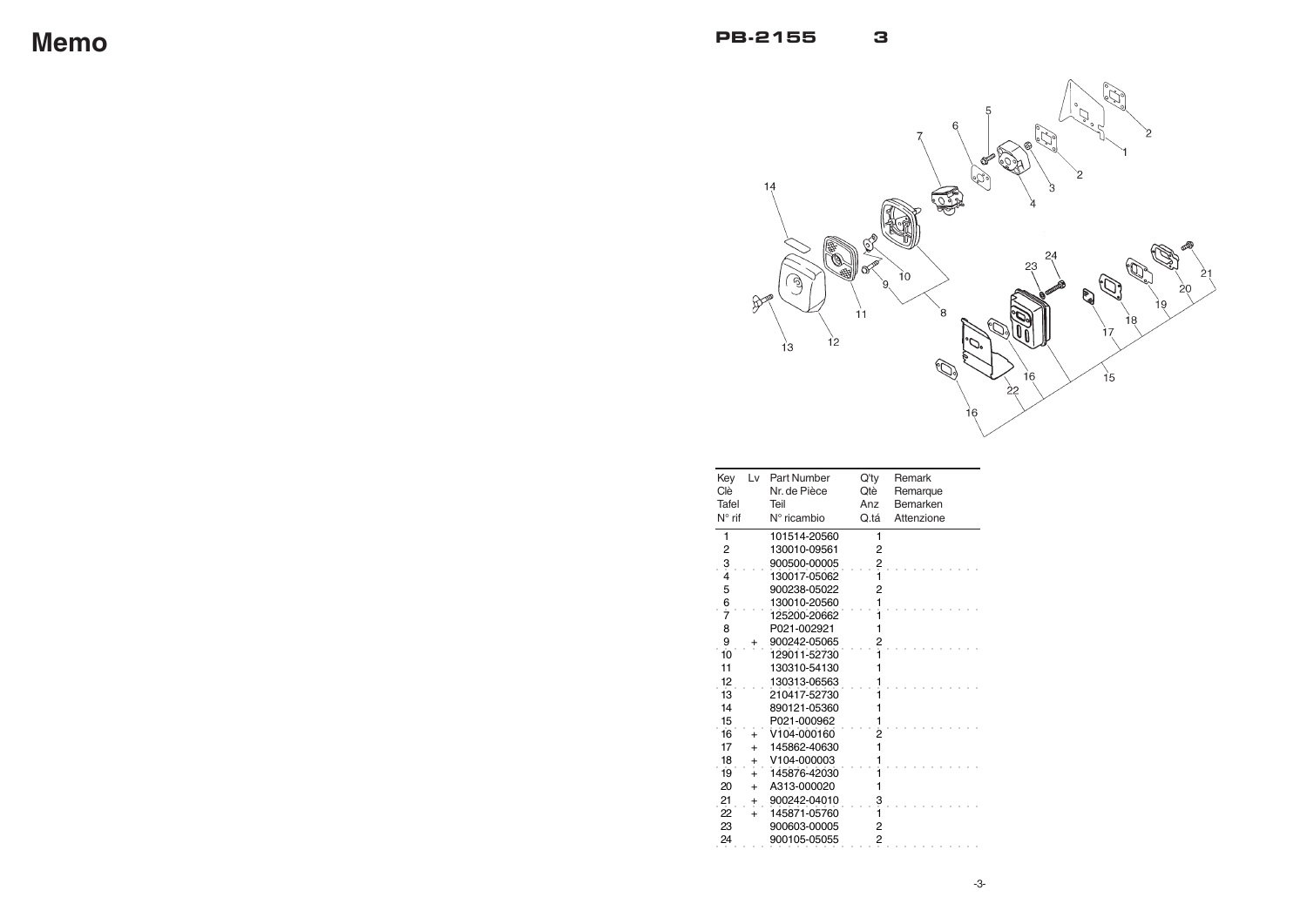

| Key<br>Clè<br>Tafel<br>$N^{\circ}$ rif | Lv             | <b>Part Number</b><br>Nr. de Pièce<br>Teil<br>$N^{\circ}$ ricambio | $Q'$ ty<br>Qtè<br>Anz<br>Q.tá | Remark<br>Remarque<br>Bemarken<br>Attenzione |
|----------------------------------------|----------------|--------------------------------------------------------------------|-------------------------------|----------------------------------------------|
| 1                                      |                | 101514-20560                                                       | 1                             |                                              |
| 2                                      |                | 130010-09561                                                       | 2                             |                                              |
| $\frac{3}{4}$                          |                | 900500-00005                                                       | <u>?</u>                      |                                              |
|                                        |                | 130017-05062                                                       |                               |                                              |
| 5                                      |                | 900238-05022                                                       | 2                             |                                              |
| $rac{6}{7}$                            |                | 130010-20560                                                       |                               |                                              |
|                                        |                | 125200-20662                                                       |                               |                                              |
| 8                                      |                | P021-002921                                                        | 1                             |                                              |
| 9                                      | ۰              | 900242-05065                                                       |                               |                                              |
| 10                                     |                | 129011-52730                                                       |                               |                                              |
| 11                                     |                | 130310-54130                                                       | 1                             |                                              |
| 12                                     |                | 130313-06563                                                       |                               |                                              |
| 13                                     |                | 210417-52730                                                       |                               |                                              |
| 14                                     |                | 890121-05360                                                       | 1                             |                                              |
| 15                                     |                | P021-000962                                                        | 1                             |                                              |
| 16                                     | $\ddot{}$      | V104-000160                                                        |                               |                                              |
| 17                                     | $\ddot{}$      | 145862-40630                                                       | 1                             |                                              |
| 18                                     | $\overline{+}$ | V104-000003                                                        |                               |                                              |
| 19                                     | $\ddot{}$      | 145876-42030                                                       |                               |                                              |
| 20                                     | $+$            | A313-000020                                                        | 1                             |                                              |
| 21                                     | $\ddagger$     | 900242-04010                                                       | $\dot{3}$                     |                                              |
| 22                                     | $\ddot{}$      | 145871-05760                                                       |                               |                                              |
| 23                                     |                | 900603-00005                                                       | 2                             |                                              |
| 24                                     |                | 900105-05055                                                       | 2                             |                                              |

**Memo**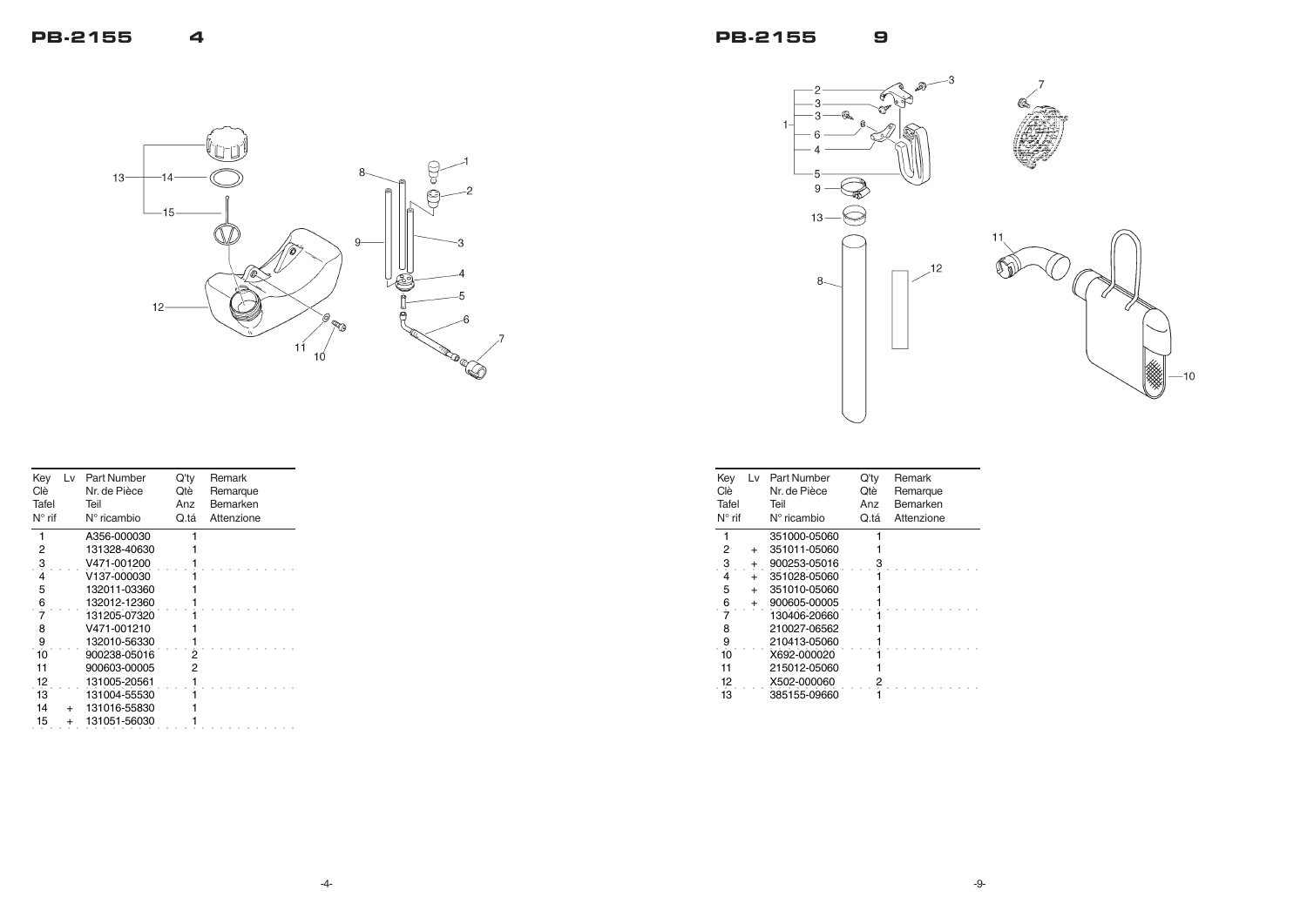





| Key<br>Clè.     | Lv          | Part Number<br>Nr. de Pièce | Q'ty<br>Qtè | Remark<br>Remarque |
|-----------------|-------------|-----------------------------|-------------|--------------------|
| Tafel           |             | Teil                        | Anz         | Bemarken           |
| $N^{\circ}$ rif |             | $N^{\circ}$ ricambio        | Q.tá        | Attenzione         |
|                 |             | 351000-05060                |             |                    |
| 2               | $\ddot{}$   | 351011-05060                |             |                    |
| 3               | $\mathbf +$ | 900253-05016                |             |                    |
| 4               | $+$         | 351028-05060                |             |                    |
| 5               | $+$         | 351010-05060                |             |                    |
| $rac{6}{7}$     | $\ddot{}$   | 900605-00005                |             |                    |
|                 |             | 130406-20660                |             |                    |
| 8               |             | 210027-06562                |             |                    |
| 9               |             | 210413-05060                |             |                    |
| 10              |             | X692-000020                 |             |                    |
| 11              |             | 215012-05060                |             |                    |
| 12              |             | X502-000060                 |             |                    |
| 13              |             | 385155-09660                |             |                    |
|                 |             |                             |             |                    |



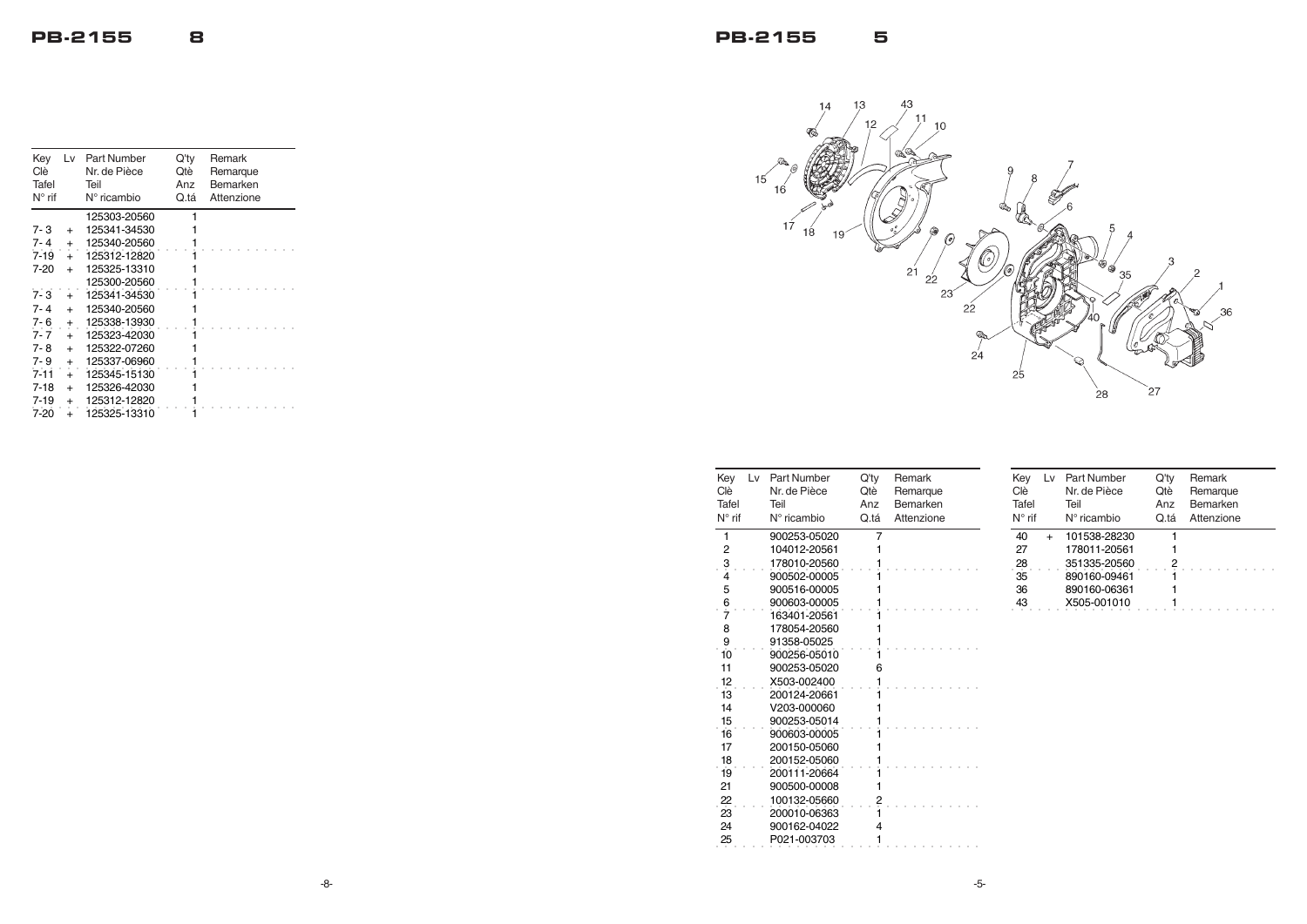



| Key<br>Lv l<br>Clè<br>Tafel<br>$N^{\circ}$ rif | Part Number<br>Nr. de Pièce<br>Teil<br>$N^{\circ}$ ricambio | $Q'$ ty<br>Qtè<br>Anz<br>Q.tá | Remark<br>Remarque<br>Bemarken<br>Attenzione |
|------------------------------------------------|-------------------------------------------------------------|-------------------------------|----------------------------------------------|
| 1                                              | 900253-05020                                                | 7                             |                                              |
| 2                                              | 104012-20561                                                |                               |                                              |
| 3<br>4                                         | 178010-20560                                                |                               |                                              |
|                                                | 900502-00005                                                |                               |                                              |
| 5                                              | 900516-00005                                                |                               |                                              |
| $rac{6}{7}$                                    | 900603-00005                                                |                               |                                              |
|                                                | 163401-20561                                                |                               |                                              |
| 8                                              | 178054-20560                                                |                               |                                              |
| 9                                              | 91358-05025                                                 |                               |                                              |
| 10                                             | 900256-05010                                                |                               |                                              |
| 11                                             | 900253-05020                                                | 6                             |                                              |
| 12                                             | X503-002400                                                 |                               |                                              |
| 13                                             | 200124-20661                                                |                               |                                              |
| 14                                             | V203-000060                                                 |                               |                                              |
| 15                                             | 900253-05014                                                |                               |                                              |
| 16                                             | 900603-00005                                                |                               |                                              |
| 17                                             | 200150-05060                                                |                               |                                              |
| 18                                             | 200152-05060                                                |                               |                                              |
| 19                                             | 200111-20664                                                |                               |                                              |
| 21                                             | 900500-00008                                                |                               |                                              |
| 22                                             | 100132-05660                                                | 2                             |                                              |
| 23                                             | 200010-06363                                                |                               |                                              |
| 24                                             | 900162-04022                                                | 4                             |                                              |
| 25                                             | P021-003703                                                 |                               |                                              |

| Key<br>Clè<br>Tafel<br>$N^{\circ}$ rif | L٧ | Part Number<br>Nr. de Pièce<br>Teil<br>$N^{\circ}$ ricambio | Q'ty<br>Qtè<br>Anz<br>Q.tá | Remark<br>Remarque<br>Bemarken<br>Attenzione |
|----------------------------------------|----|-------------------------------------------------------------|----------------------------|----------------------------------------------|
| 40                                     |    | 101538-28230                                                |                            |                                              |
| 27                                     |    | 178011-20561                                                |                            |                                              |
| 28                                     |    | 351335-20560                                                | 2                          |                                              |
| 35                                     |    | 890160-09461                                                |                            |                                              |
| 36                                     |    | 890160-06361                                                |                            |                                              |
| 43                                     |    | X505-001010                                                 |                            |                                              |

| Key<br>Clè      | Lv            | <b>Part Number</b><br>Nr. de Pièce | Q'ty<br>Qtè | Remark<br>Remarque |
|-----------------|---------------|------------------------------------|-------------|--------------------|
| Tafel           |               | Teil                               | Anz         | Bemarken           |
| $N^{\circ}$ rif |               | $N^{\circ}$ ricambio               | Q.tá        | Attenzione         |
|                 |               | 125303-20560                       | 1           |                    |
| 7-3             | $+$           | 125341-34530                       |             |                    |
| 7-4             | $+$           | 125340-20560                       |             |                    |
| $7 - 19$        | $+$           | 125312-12820                       |             |                    |
| 7-20            | $+$           | 125325-13310                       |             |                    |
|                 |               | 125300-20560                       |             |                    |
| $7 - 3$         | $\ddot{+}$    | 125341-34530                       |             |                    |
| 7-4             | $+$           | 125340-20560                       |             |                    |
| 7-6             | $+$           | 125338-13930                       |             |                    |
| $7 - 7$         | $\frac{1}{1}$ | 125323-42030                       |             |                    |
| 7-8             | $+$           | 125322-07260                       |             |                    |
| 7-9             | $\pmb{+}$     | 125337-06960                       |             |                    |
| $7 - 11$        | $\frac{1}{1}$ | 125345-15130                       |             |                    |
| $7 - 18$        | $+$           | 125326-42030                       |             |                    |
| $7 - 19$        | $+$           | 125312-12820                       |             |                    |
| $7-20$          | $\ddot{}$     | 125325-13310                       |             |                    |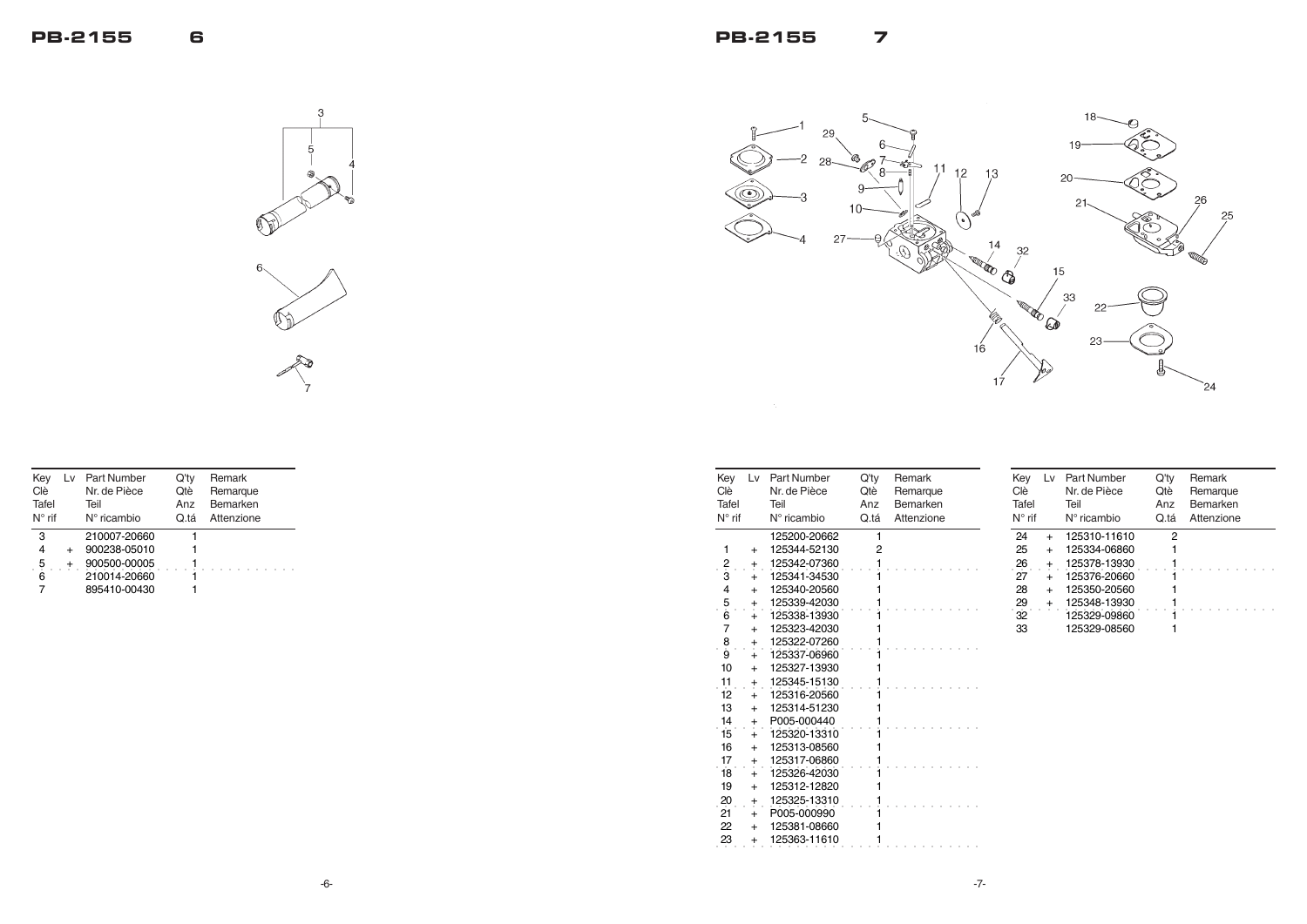**PB-2155 7**



| Key<br>Clè<br>Tafel<br>$N^{\circ}$ rif | Lv             | <b>Part Number</b><br>Nr. de Pièce<br>Teil<br>$N^{\circ}$ ricambio | Q'ty<br>Qtè<br>Anz<br>Q.tá | Remark<br>Remarque<br>Bemarken<br>Attenzione |
|----------------------------------------|----------------|--------------------------------------------------------------------|----------------------------|----------------------------------------------|
|                                        |                | 125200-20662                                                       | 1                          |                                              |
| 1                                      | $\ddot{}$      | 125344-52130                                                       | 2                          |                                              |
| $\frac{2}{3}$                          | $\pm$          | 125342-07360                                                       | 1                          |                                              |
|                                        | $\ddot{}$      | 125341-34530                                                       |                            |                                              |
| 4                                      | $+$            | 125340-20560                                                       |                            |                                              |
| $\frac{5}{6}$                          | $\pmb{+}$      | 125339-42030                                                       |                            |                                              |
|                                        | $\bf{+}$       | 125338-13930                                                       |                            |                                              |
| 7                                      | $+$            | 125323-42030                                                       |                            |                                              |
| 8<br>9                                 | $\ddagger$     | 125322-07260                                                       |                            |                                              |
|                                        | $\bf{+}$       | 125337-06960                                                       |                            |                                              |
| 10                                     | $+$            | 125327-13930                                                       |                            |                                              |
| 11                                     | $\ddagger$     | 125345-15130                                                       |                            |                                              |
| 12                                     | $\ddot{}$      | 125316-20560                                                       |                            |                                              |
| 13                                     | $+$            | 125314-51230                                                       |                            |                                              |
| 14                                     | $\pmb{+}$      | P005-000440                                                        |                            |                                              |
| 15                                     | $+$            | 125320-13310                                                       |                            |                                              |
| 16                                     | $+$            | 125313-08560                                                       | 1                          |                                              |
| 17                                     | $\overline{+}$ | 125317-06860                                                       |                            |                                              |
| 18                                     | $\ddot{}$      | 125326-42030                                                       |                            |                                              |
| 19                                     | $+$            | 125312-12820                                                       | 1                          |                                              |
| 20                                     | $\pmb{+}$      | 125325-13310                                                       |                            |                                              |
| 21                                     | $\ddot{}$      | P005-000990                                                        |                            |                                              |
| 22                                     | $+$            | 125381-08660                                                       |                            |                                              |
| 23                                     | $\ddot{}$      | 125363-11610                                                       | 1                          |                                              |

| Key<br>Clè<br>Tafel<br>$N^{\circ}$ rif | L٧        | <b>Part Number</b><br>Nr. de Pièce<br>Teil<br>$N^{\circ}$ ricambio | Q'tv<br>Qtè<br>Anz<br>Q.tá | Remark<br>Remarque<br>Bemarken<br>Attenzione |
|----------------------------------------|-----------|--------------------------------------------------------------------|----------------------------|----------------------------------------------|
| 3                                      |           | 210007-20660                                                       |                            |                                              |
| 4                                      | $\ddot{}$ | 900238-05010                                                       |                            |                                              |
| 5                                      |           | 900500-00005                                                       |                            |                                              |
| 6                                      |           | 210014-20660                                                       |                            |                                              |
|                                        |           | 895410-00430                                                       |                            |                                              |



| Key<br>Clè<br>Tafel<br>$N^{\circ}$ rif | L٧        | Part Number<br>Nr. de Pièce<br>Teil<br>$N^{\circ}$ ricambio | Q'ty<br>Otè<br>Anz<br>Q.tá | <b>Remark</b><br>Remarque<br>Bemarken<br>Attenzione |
|----------------------------------------|-----------|-------------------------------------------------------------|----------------------------|-----------------------------------------------------|
| 24                                     | $+$       | 125310-11610                                                | 2                          |                                                     |
| 25                                     | $\ddot{}$ | 125334-06860                                                |                            |                                                     |
| 26                                     | $\pm$     | 125378-13930                                                |                            |                                                     |
| 27                                     |           | 125376-20660                                                |                            |                                                     |
| 28                                     | $\ddot{}$ | 125350-20560                                                |                            |                                                     |
| 29                                     | $\pm$     | 125348-13930                                                |                            |                                                     |
| 32                                     |           | 125329-09860                                                |                            |                                                     |
| 33                                     |           | 125329-08560                                                |                            |                                                     |